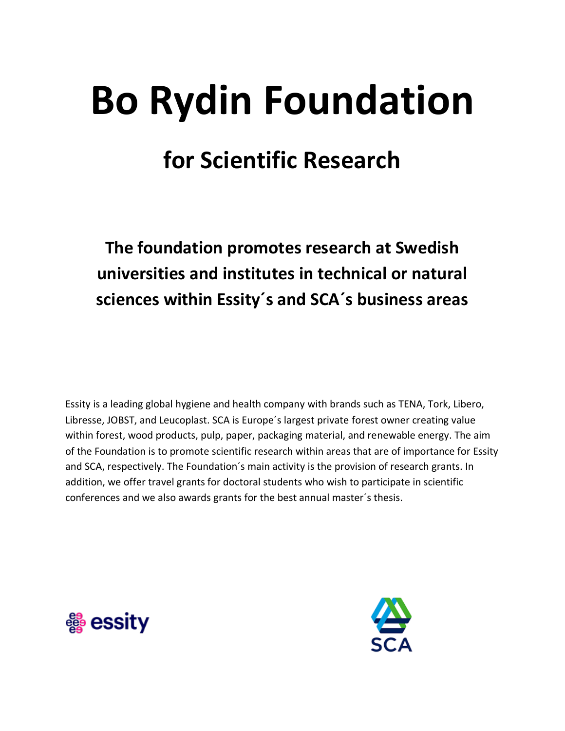# **Bo Rydin Foundation for Scientific Research**

**The foundation promotes research at Swedish universities and institutes in technical or natural sciences within Essity´s and SCA´s business areas**

Essity is a leading global hygiene and health company with brands such as TENA, Tork, Libero, Libresse, JOBST, and Leucoplast. SCA is Europe´s largest private forest owner creating value within forest, wood products, pulp, paper, packaging material, and renewable energy. The aim of the Foundation is to promote scientific research within areas that are of importance for Essity and SCA, respectively. The Foundation´s main activity is the provision of research grants. In addition, we offer travel grants for doctoral students who wish to participate in scientific conferences and we also awards grants for the best annual master´s thesis.



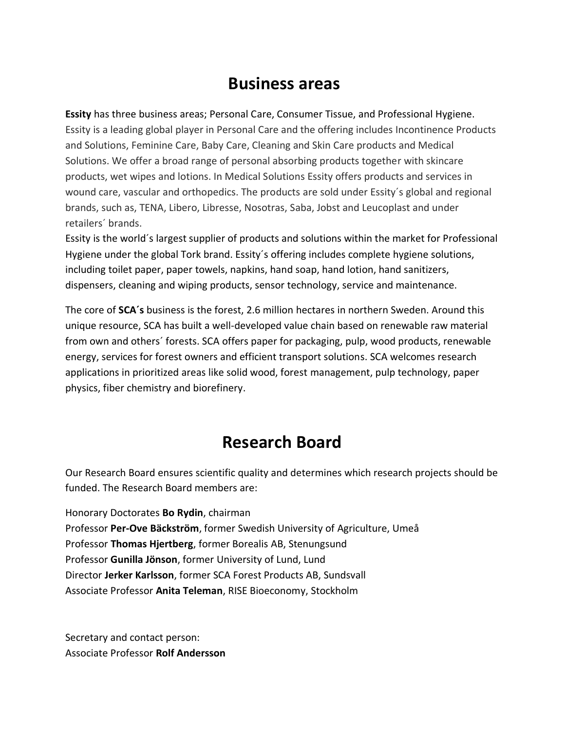#### **Business areas**

**Essity** has three business areas; Personal Care, Consumer Tissue, and Professional Hygiene. Essity is a leading global player in Personal Care and the offering includes Incontinence Products and Solutions, Feminine Care, Baby Care, Cleaning and Skin Care products and Medical Solutions. We offer a broad range of personal absorbing products together with skincare products, wet wipes and lotions. In Medical Solutions Essity offers products and services in wound care, vascular and orthopedics. The products are sold under Essity´s global and regional brands, such as, TENA, Libero, Libresse, Nosotras, Saba, Jobst and Leucoplast and under retailers´ brands.

Essity is the world´s largest supplier of products and solutions within the market for Professional Hygiene under the global Tork brand. Essity´s offering includes complete hygiene solutions, including toilet paper, paper towels, napkins, hand soap, hand lotion, hand sanitizers, dispensers, cleaning and wiping products, sensor technology, service and maintenance.

The core of **SCA´s** business is the forest, 2.6 million hectares in northern Sweden. Around this unique resource, SCA has built a well-developed value chain based on renewable raw material from own and others´ forests. SCA offers paper for packaging, pulp, wood products, renewable energy, services for forest owners and efficient transport solutions. SCA welcomes research applications in prioritized areas like solid wood, forest management, pulp technology, paper physics, fiber chemistry and biorefinery.

### **Research Board**

Our Research Board ensures scientific quality and determines which research projects should be funded. The Research Board members are:

Honorary Doctorates **Bo Rydin**, chairman Professor **Per-Ove Bäckström**, former Swedish University of Agriculture, Umeå Professor **Thomas Hjertberg**, former Borealis AB, Stenungsund Professor **Gunilla Jönson**, former University of Lund, Lund Director **Jerker Karlsson**, former SCA Forest Products AB, Sundsvall Associate Professor **Anita Teleman**, RISE Bioeconomy, Stockholm

Secretary and contact person: Associate Professor **Rolf Andersson**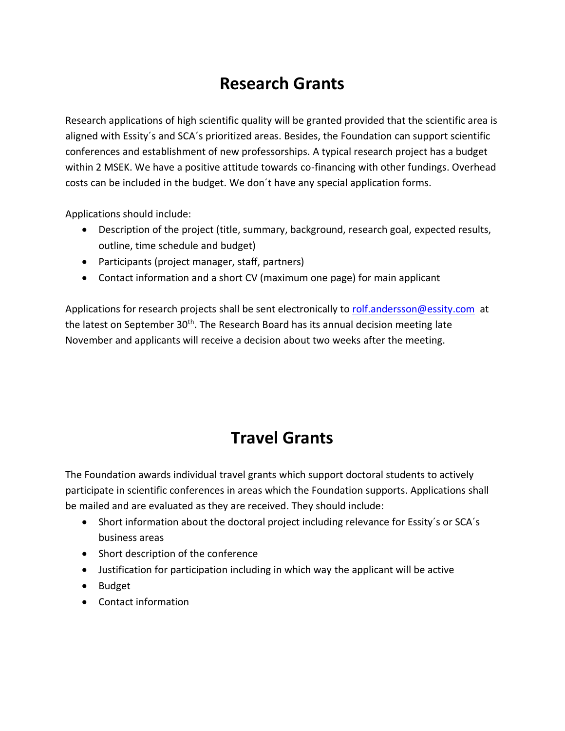### **Research Grants**

Research applications of high scientific quality will be granted provided that the scientific area is aligned with Essity´s and SCA´s prioritized areas. Besides, the Foundation can support scientific conferences and establishment of new professorships. A typical research project has a budget within 2 MSEK. We have a positive attitude towards co-financing with other fundings. Overhead costs can be included in the budget. We don´t have any special application forms.

Applications should include:

- Description of the project (title, summary, background, research goal, expected results, outline, time schedule and budget)
- Participants (project manager, staff, partners)
- Contact information and a short CV (maximum one page) for main applicant

Applications for research projects shall be sent electronically to [rolf.andersson@essity.com](mailto:rolf.andersson@essity.com) at the latest on September 30<sup>th</sup>. The Research Board has its annual decision meeting late November and applicants will receive a decision about two weeks after the meeting.

### **Travel Grants**

The Foundation awards individual travel grants which support doctoral students to actively participate in scientific conferences in areas which the Foundation supports. Applications shall be mailed and are evaluated as they are received. They should include:

- Short information about the doctoral project including relevance for Essity's or SCA's business areas
- Short description of the conference
- Justification for participation including in which way the applicant will be active
- Budget
- Contact information